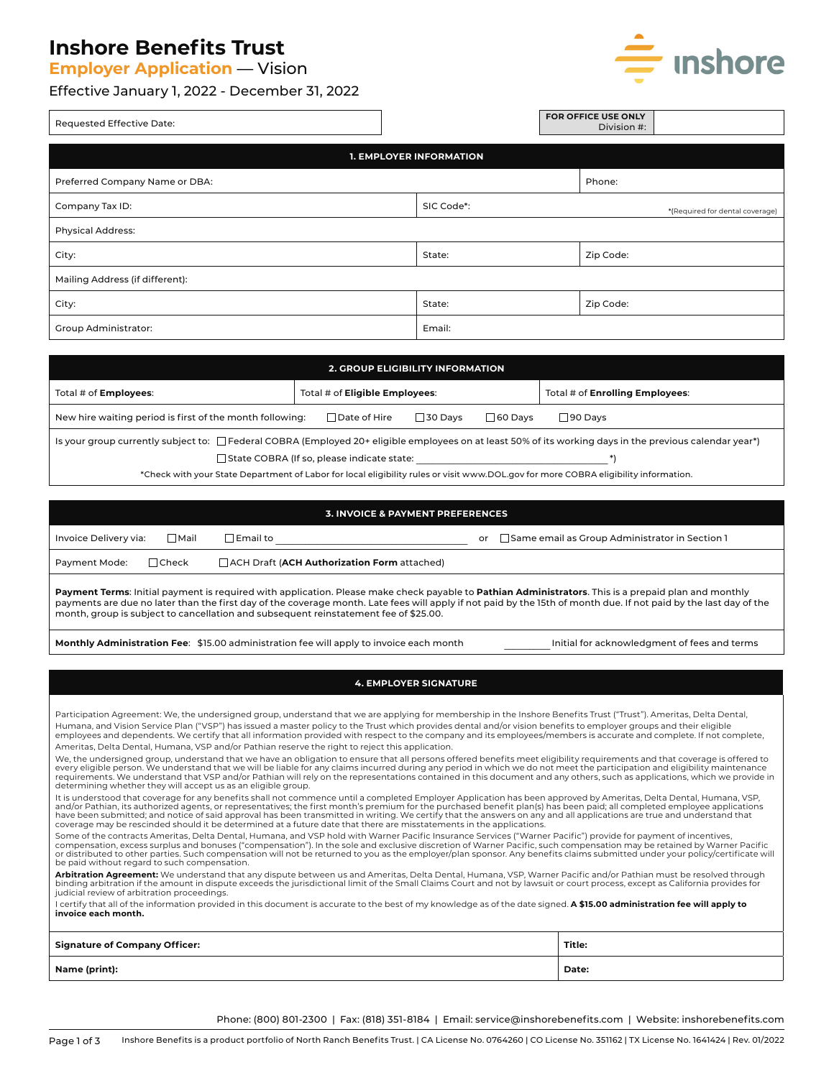## **Inshore Benefits Trust**

**Employer Application** — Vision

### Effective January 1, 2022 - December 31, 2022



| Requested Effective Date:       |  |            |  | FOR OFFICE USE ONLY<br>Division #: |                                 |
|---------------------------------|--|------------|--|------------------------------------|---------------------------------|
| <b>1. EMPLOYER INFORMATION</b>  |  |            |  |                                    |                                 |
| Preferred Company Name or DBA:  |  |            |  | Phone:                             |                                 |
| Company Tax ID:                 |  | SIC Code*: |  |                                    | *(Required for dental coverage) |
| <b>Physical Address:</b>        |  |            |  |                                    |                                 |
| City:                           |  | State:     |  | Zip Code:                          |                                 |
| Mailing Address (if different): |  |            |  |                                    |                                 |
| City:                           |  | State:     |  | Zip Code:                          |                                 |
| <b>Group Administrator:</b>     |  | Email:     |  |                                    |                                 |

| <b>2. GROUP ELIGIBILITY INFORMATION</b>                                                                                                                  |                                       |                                        |  |  |
|----------------------------------------------------------------------------------------------------------------------------------------------------------|---------------------------------------|----------------------------------------|--|--|
| Total # of <b>Employees:</b>                                                                                                                             | Total # of <b>Eligible Employees:</b> | Total # of <b>Enrolling Employees:</b> |  |  |
| New hire waiting period is first of the month following:<br>$\Box$ Date of Hire<br>$\sqcap$ 60 Davs<br>$\sqsupset$ 90 Davs<br>$\sqsupset$ 30 Davs        |                                       |                                        |  |  |
| Is your group currently subject to: □ Federal COBRA (Employed 20+ eligible employees on at least 50% of its working days in the previous calendar year*) |                                       |                                        |  |  |
| State COBRA (If so, please indicate state:                                                                                                               |                                       |                                        |  |  |
| *Check with your State Department of Labor for local eligibility rules or visit www.DOL.gov for more COBRA eligibility information.                      |                                       |                                        |  |  |

| <b>3. INVOICE &amp; PAYMENT PREFERENCES</b>                                                                                                          |              |                                                    |                                                             |
|------------------------------------------------------------------------------------------------------------------------------------------------------|--------------|----------------------------------------------------|-------------------------------------------------------------|
| Invoice Delivery via:                                                                                                                                | ∏Mail        | $\Box$ Email to                                    | $\Box$ Same email as Group Administrator in Section 1<br>or |
| Payment Mode:                                                                                                                                        | $\Box$ Check | $\Box$ ACH Draft (ACH Authorization Form attached) |                                                             |
| Payment Terms: Initial payment is required with application. Please make check payable to Pathian Administrators. This is a prepaid plan and monthly |              |                                                    |                                                             |

payments are due no later than the first day of the coverage month. Late fees will apply if not paid by the 15th of month due. If not paid by the last day of the month, group is subject to cancellation and subsequent reinstatement fee of \$25.00.

Monthly Administration Fee: \$15.00 administration fee will apply to invoice each month **Wood Contrary and Initial for acknowledgment of fees and terms** 

#### **4. EMPLOYER SIGNATURE**

Participation Agreement: We, the undersigned group, understand that we are applying for membership in the Inshore Benefits Trust ("Trust"). Ameritas, Delta Dental, Humana, and Vision Service Plan ("VSP") has issued a master policy to the Trust which provides dental and/or vision benefits to employer groups and their eligible employees and dependents. We certify that all information provided with respect to the company and its employees/members is accurate and complete. If not complete, Ameritas, Delta Dental, Humana, VSP and/or Pathian reserve the right to reject this application.

We, the undersigned group, understand that we have an obligation to ensure that all persons offered benefits meet eligibility requirements and that coverage is offered to<br>every eligible person. We understand that we will b determining whether they will accept us as an eligible group.

It is understood that coverage for any benefits shall not commence until a completed Employer Application has been approved by Ameritas, Delta Dental, Humana, VSP, and/or Pathian, its authorized agents, or representatives; the first month's premium for the purchased benefit plan(s) has been paid; all completed employee applications<br>have been submitted; and notice of said approval has

Some of the contracts Ameritas, Delta Dental, Humana, and VSP hold with Warner Pacific Insurance Services ("Warner Pacific") provide for payment of incentives,<br>compensation, excess surplus and bonuses ("compensation"). In or distributed to other parties. Such compensation will not be returned to you as the employer/plan sponsor. Any benefits claims submitted under your policy/certificate will be paid without regard to such compensation.

**Arbitration Agreement:** We understand that any dispute between us and Ameritas, Delta Dental, Humana, VSP, Warner Pacific and/or Pathian must be resolved through binding arbitration if the amount in dispute exceeds the jurisdictional limit of the Small Claims Court and not by lawsuit or court process, except as California provides for judicial review of arbitration proceedings.

I certify that all of the information provided in this document is accurate to the best of my knowledge as of the date signed. **A \$15.00 administration fee will apply to invoice each month.**

| <b>Signature of Company Officer:</b> | Title: |
|--------------------------------------|--------|
| <b>Name (print):</b>                 | Date:  |

Phone: (800) 801-2300 | Fax: (818) 351-8184 | Email: service@inshorebenefits.com | Website: inshorebenefits.com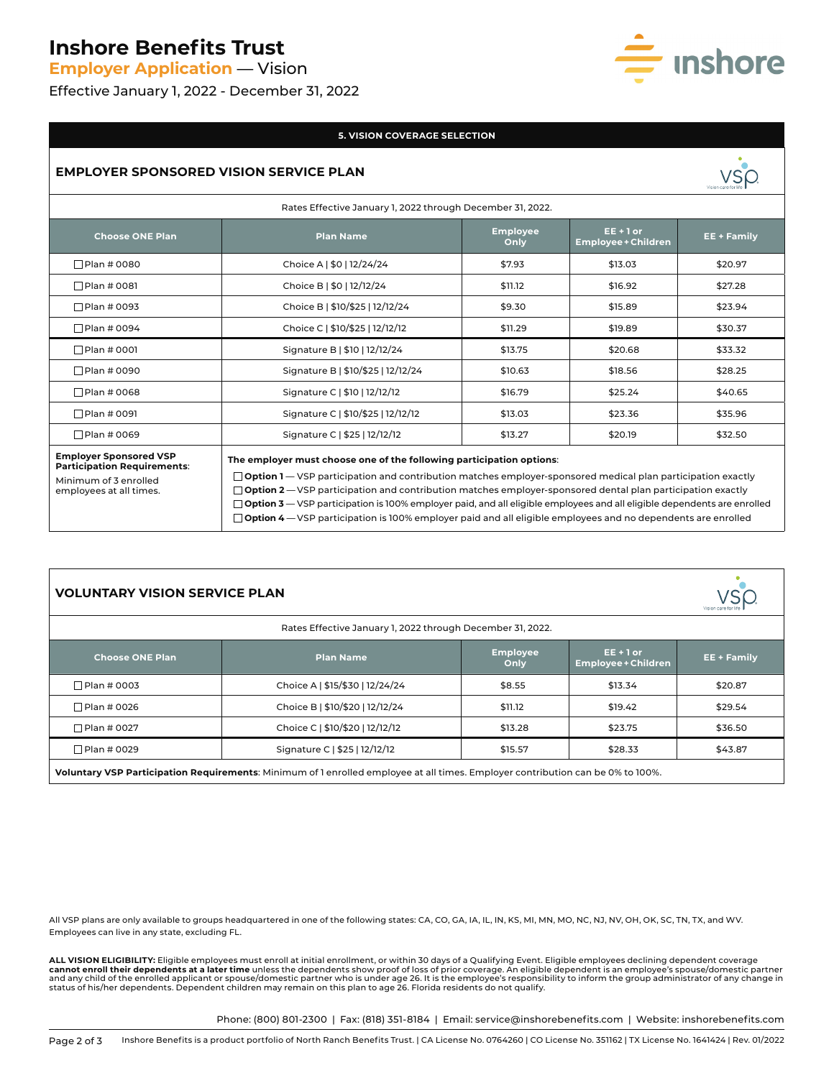## **Inshore Benefits Trust**

**Employer Application** — Vision

Effective January 1, 2022 - December 31, 2022

# · **Inshore**

### **5. VISION COVERAGE SELECTION**

### **EMPLOYER SPONSORED VISION SERVICE PLAN**



| Rates Effective January 1, 2022 through December 31, 2022.                                                              |                                                                                                                                                                                                                                                                                                                                                                                                                                                                                                                                                                          |                         |                                           |                    |
|-------------------------------------------------------------------------------------------------------------------------|--------------------------------------------------------------------------------------------------------------------------------------------------------------------------------------------------------------------------------------------------------------------------------------------------------------------------------------------------------------------------------------------------------------------------------------------------------------------------------------------------------------------------------------------------------------------------|-------------------------|-------------------------------------------|--------------------|
| <b>Choose ONE Plan</b>                                                                                                  | <b>Plan Name</b>                                                                                                                                                                                                                                                                                                                                                                                                                                                                                                                                                         | <b>Employee</b><br>Only | $EE + 1$ or<br><b>Employee + Children</b> | <b>EE + Family</b> |
| $\Box$ Plan # 0080                                                                                                      | Choice A   \$0   12/24/24                                                                                                                                                                                                                                                                                                                                                                                                                                                                                                                                                | \$7.93                  | \$13.03                                   | \$20.97            |
| $\Box$ Plan # 0081                                                                                                      | Choice B   \$0   12/12/24                                                                                                                                                                                                                                                                                                                                                                                                                                                                                                                                                | \$11.12                 | \$16.92                                   | \$27.28            |
| Plan # 0093                                                                                                             | Choice B   \$10/\$25   12/12/24                                                                                                                                                                                                                                                                                                                                                                                                                                                                                                                                          | \$9.30                  | \$15.89                                   | \$23.94            |
| $\Box$ Plan # 0094                                                                                                      | Choice C   \$10/\$25   12/12/12                                                                                                                                                                                                                                                                                                                                                                                                                                                                                                                                          | \$11.29                 | \$19.89                                   | \$30.37            |
| $\Box$ Plan # 0001                                                                                                      | Signature B   \$10   12/12/24                                                                                                                                                                                                                                                                                                                                                                                                                                                                                                                                            | \$13.75                 | \$20.68                                   | \$33.32            |
| □ Plan # 0090                                                                                                           | Signature B   \$10/\$25   12/12/24                                                                                                                                                                                                                                                                                                                                                                                                                                                                                                                                       | \$10.63                 | \$18.56                                   | \$28.25            |
| $\Box$ Plan # 0068                                                                                                      | Signature C   \$10   12/12/12                                                                                                                                                                                                                                                                                                                                                                                                                                                                                                                                            | \$16.79                 | \$25.24                                   | \$40.65            |
| $\Box$ Plan # 0091                                                                                                      | Signature C   \$10/\$25   12/12/12                                                                                                                                                                                                                                                                                                                                                                                                                                                                                                                                       | \$13.03                 | \$23.36                                   | \$35.96            |
| $\Box$ Plan # 0069                                                                                                      | Signature C   \$25   12/12/12                                                                                                                                                                                                                                                                                                                                                                                                                                                                                                                                            | \$13.27                 | \$20.19                                   | \$32.50            |
| <b>Employer Sponsored VSP</b><br><b>Participation Requirements:</b><br>Minimum of 3 enrolled<br>employees at all times. | The employer must choose one of the following participation options:<br>$\Box$ Option 1 – VSP participation and contribution matches employer-sponsored medical plan participation exactly<br>$\Box$ Option 2 – VSP participation and contribution matches employer-sponsored dental plan participation exactly<br>$\Box$ Option 3 — VSP participation is 100% employer paid, and all eligible employees and all eligible dependents are enrolled<br>$\Box$ Option 4 – VSP participation is 100% employer paid and all eligible employees and no dependents are enrolled |                         |                                           |                    |

| <b>VOLUNTARY VISION SERVICE PLAN</b>                                                                                            |                                 |                         |                                           |             |
|---------------------------------------------------------------------------------------------------------------------------------|---------------------------------|-------------------------|-------------------------------------------|-------------|
| Rates Effective January 1, 2022 through December 31, 2022.                                                                      |                                 |                         |                                           |             |
| <b>Choose ONE Plan</b>                                                                                                          | <b>Plan Name</b>                | <b>Employee</b><br>Only | $EE + 1$ or<br><b>Employee + Children</b> | EE + Family |
| □ Plan # 0003                                                                                                                   | Choice A   \$15/\$30   12/24/24 | \$8.55                  | \$13.34                                   | \$20.87     |
| □ Plan # 0026                                                                                                                   | Choice B   \$10/\$20   12/12/24 | \$11.12                 | \$19.42                                   | \$29.54     |
| □ Plan # 0027                                                                                                                   | Choice C   \$10/\$20   12/12/12 | \$13.28                 | \$23.75                                   | \$36.50     |
| □Plan # 0029                                                                                                                    | Signature C   \$25   12/12/12   | \$15.57                 | \$28.33                                   | \$43.87     |
| Voluntary VSP Participation Requirements: Minimum of 1 enrolled employee at all times. Employer contribution can be 0% to 100%. |                                 |                         |                                           |             |

All VSP plans are only available to groups headquartered in one of the following states: CA, CO, GA, IA, IL, IN, KS, MI, MN, MO, NC, NJ, NV, OH, OK, SC, TN, TX, and WV. Employees can live in any state, excluding FL.

**ALL VISION ELIGIBILITY:** Eligible employees must enroll at initial enrollment, or within 30 days of a Qualifying Event. Eligible employees declining dependent coverage **cannot enroll their dependents at a later time** unless the dependents show proof of loss of prior coverage. An eligible dependent is an employee's spouse/domestic partner and any child of the enrolled applicant or spouse/domestic partner who is under age 26. It is the employee's responsibility to inform the group administrator of any change in<br>status of his/her dependents. Dependent childre

Phone: (800) 801-2300 | Fax: (818) 351-8184 | Email: service@inshorebenefits.com | Website: inshorebenefits.com